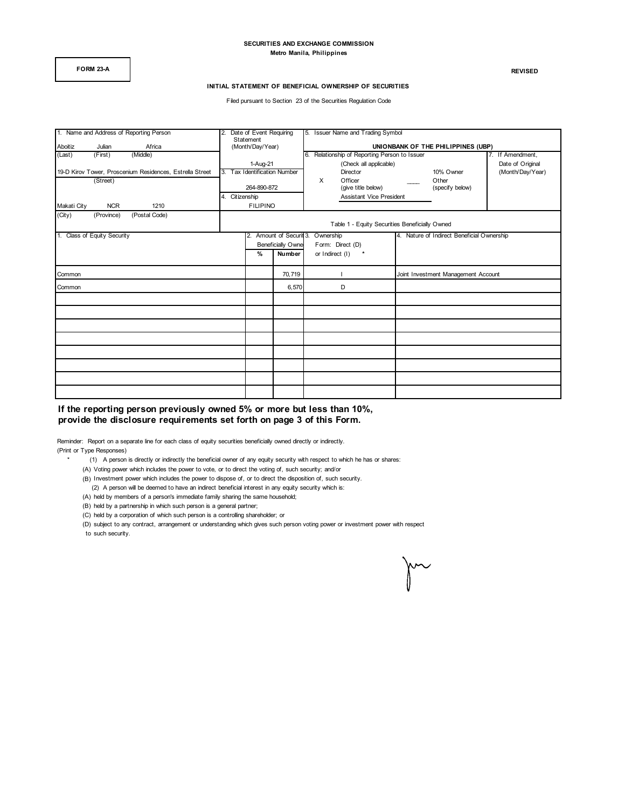#### **SECURITIES AND EXCHANGE COMMISSION Metro Manila, Philippines**

**FORM 23-A REVISED**

#### **INITIAL STATEMENT OF BENEFICIAL OWNERSHIP OF SECURITIES**

Filed pursuant to Section 23 of the Securities Regulation Code

| 1. Name and Address of Reporting Person |                                                          |               | 2. Date of Event Requiring    |                                   | 5. Issuer Name and Trading Symbol  |                                                                   |                                                |                                            |                                     |                  |  |
|-----------------------------------------|----------------------------------------------------------|---------------|-------------------------------|-----------------------------------|------------------------------------|-------------------------------------------------------------------|------------------------------------------------|--------------------------------------------|-------------------------------------|------------------|--|
| Aboitiz                                 | Julian                                                   | Africa        | Statement<br>(Month/Day/Year) |                                   | UNIONBANK OF THE PHILIPPINES (UBP) |                                                                   |                                                |                                            |                                     |                  |  |
| (Last)                                  | (First)                                                  | (Middle)      |                               |                                   |                                    | 6. Relationship of Reporting Person to Issuer<br>7. If Amendment, |                                                |                                            |                                     |                  |  |
|                                         |                                                          |               |                               | 1-Aug-21                          |                                    |                                                                   | (Check all applicable)                         |                                            |                                     | Date of Original |  |
|                                         | 19-D Kirov Tower, Proscenium Residences, Estrella Street |               | 3. Tax Identification Number  |                                   | Director                           |                                                                   | 10% Owner                                      | (Month/Day/Year)                           |                                     |                  |  |
|                                         | (Street)                                                 |               |                               |                                   |                                    | $\times$                                                          | Officer                                        |                                            | Other                               |                  |  |
|                                         |                                                          |               |                               | 264-890-872                       |                                    |                                                                   | (give title below)                             |                                            | (specify below)                     |                  |  |
|                                         |                                                          |               | 4. Citizenship                |                                   |                                    |                                                                   | <b>Assistant Vice President</b>                |                                            |                                     |                  |  |
| Makati City                             | <b>NCR</b>                                               | 1210          |                               | <b>FILIPINO</b>                   |                                    |                                                                   |                                                |                                            |                                     |                  |  |
| (City)                                  | (Province)                                               | (Postal Code) |                               |                                   |                                    |                                                                   |                                                |                                            |                                     |                  |  |
|                                         |                                                          |               |                               |                                   |                                    |                                                                   | Table 1 - Equity Securities Beneficially Owned |                                            |                                     |                  |  |
| 1. Class of Equity Security             |                                                          |               |                               | 2. Amount of Securit 3. Ownership |                                    |                                                                   |                                                | 4. Nature of Indirect Beneficial Ownership |                                     |                  |  |
|                                         |                                                          |               |                               | <b>Beneficially Owne</b>          |                                    | Form: Direct (D)                                                  |                                                |                                            |                                     |                  |  |
|                                         |                                                          |               |                               | $\%$                              | <b>Number</b>                      | or Indirect (I)                                                   | $\star$                                        |                                            |                                     |                  |  |
|                                         |                                                          |               |                               |                                   |                                    |                                                                   |                                                |                                            |                                     |                  |  |
| Common                                  |                                                          |               |                               |                                   | 70.719                             |                                                                   |                                                |                                            | Joint Investment Management Account |                  |  |
| Common                                  |                                                          |               |                               |                                   | 6,570                              |                                                                   | D                                              |                                            |                                     |                  |  |
|                                         |                                                          |               |                               |                                   |                                    |                                                                   |                                                |                                            |                                     |                  |  |
|                                         |                                                          |               |                               |                                   |                                    |                                                                   |                                                |                                            |                                     |                  |  |
|                                         |                                                          |               |                               |                                   |                                    |                                                                   |                                                |                                            |                                     |                  |  |
|                                         |                                                          |               |                               |                                   |                                    |                                                                   |                                                |                                            |                                     |                  |  |
|                                         |                                                          |               |                               |                                   |                                    |                                                                   |                                                |                                            |                                     |                  |  |
|                                         |                                                          |               |                               |                                   |                                    |                                                                   |                                                |                                            |                                     |                  |  |
|                                         |                                                          |               |                               |                                   |                                    |                                                                   |                                                |                                            |                                     |                  |  |
|                                         |                                                          |               |                               |                                   |                                    |                                                                   |                                                |                                            |                                     |                  |  |

#### **If the reporting person previously owned 5% or more but less than 10%, provide the disclosure requirements set forth on page 3 of this Form.**

Reminder: Report on a separate line for each class of equity securities beneficially owned directly or indirectly. (Print or Type Responses)

- (1) A person is directly or indirectly the beneficial owner of any equity security with respect to which he has or shares:
- (A) Voting power which includes the power to vote, or to direct the voting of, such security; and/or
- (B) Investment power which includes the power to dispose of, or to direct the disposition of, such security.
- $(2)$  A person will be deemed to have an indirect beneficial interest in any equity security which is:
- (A) held by members of a person's immediate family sharing the same household;
- (B) held by a partnership in which such person is a general partner;
- (C) held by a corporation of which such person is a controlling shareholder; or
- (D) subject to any contract, arrangement or understanding which gives such person voting power or investment power with respect

to such security.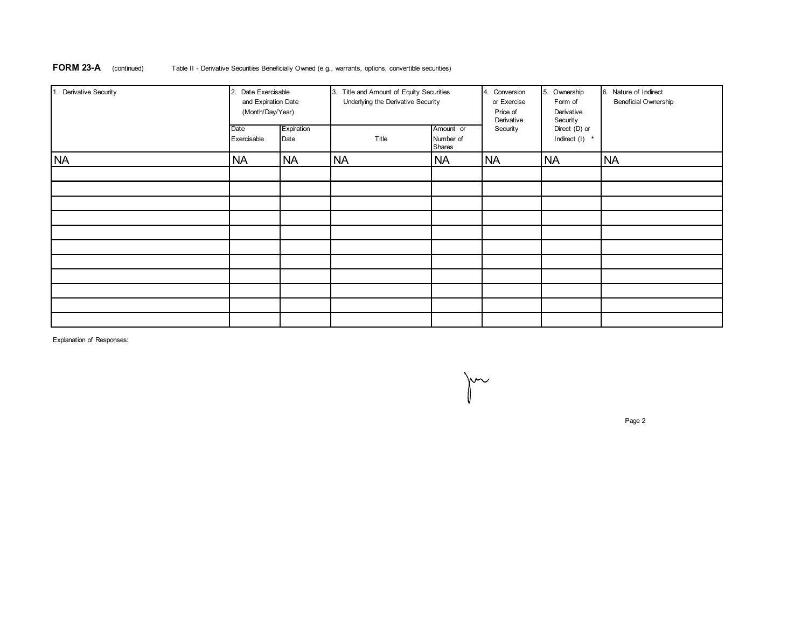# **FORM 23-A** (continued) Table II - Derivative Securities Beneficially Owned (e.g., warrants, options, convertible securities)

| 1. Derivative Security | 2. Date Exercisable<br>and Expiration Date<br>(Month/Day/Year)<br>Expiration<br>Date |           | 3. Title and Amount of Equity Securities<br>Underlying the Derivative Security<br>Title | 4. Conversion<br>or Exercise<br>Price of<br>Derivative<br>Security | 5. Ownership<br>Form of<br>Derivative<br>Security<br>Direct (D) or | 6. Nature of Indirect<br><b>Beneficial Ownership</b> |           |
|------------------------|--------------------------------------------------------------------------------------|-----------|-----------------------------------------------------------------------------------------|--------------------------------------------------------------------|--------------------------------------------------------------------|------------------------------------------------------|-----------|
|                        | Exercisable                                                                          | Date      |                                                                                         | Number of<br>Shares                                                |                                                                    | Indirect (I) *                                       |           |
| <b>NA</b>              | <b>NA</b>                                                                            | <b>NA</b> | <b>NA</b>                                                                               | <b>NA</b>                                                          | <b>NA</b>                                                          | <b>NA</b>                                            | <b>NA</b> |
|                        |                                                                                      |           |                                                                                         |                                                                    |                                                                    |                                                      |           |
|                        |                                                                                      |           |                                                                                         |                                                                    |                                                                    |                                                      |           |
|                        |                                                                                      |           |                                                                                         |                                                                    |                                                                    |                                                      |           |
|                        |                                                                                      |           |                                                                                         |                                                                    |                                                                    |                                                      |           |
|                        |                                                                                      |           |                                                                                         |                                                                    |                                                                    |                                                      |           |
|                        |                                                                                      |           |                                                                                         |                                                                    |                                                                    |                                                      |           |
|                        |                                                                                      |           |                                                                                         |                                                                    |                                                                    |                                                      |           |
|                        |                                                                                      |           |                                                                                         |                                                                    |                                                                    |                                                      |           |
|                        |                                                                                      |           |                                                                                         |                                                                    |                                                                    |                                                      |           |
|                        |                                                                                      |           |                                                                                         |                                                                    |                                                                    |                                                      |           |
|                        |                                                                                      |           |                                                                                         |                                                                    |                                                                    |                                                      |           |

Explanation of Responses:



Page 2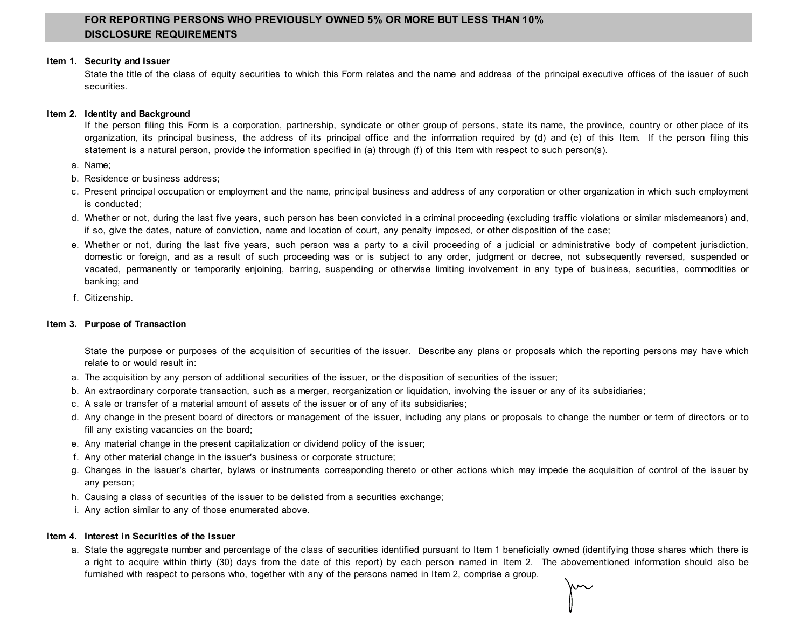# **FOR REPORTING PERSONS WHO PREVIOUSLY OWNED 5% OR MORE BUT LESS THAN 10% DISCLOSURE REQUIREMENTS**

#### **Item 1. Security and Issuer**

State the title of the class of equity securities to which this Form relates and the name and address of the principal executive offices of the issuer of such securities.

## **Item 2. Identity and Background**

If the person filing this Form is a corporation, partnership, syndicate or other group of persons, state its name, the province, country or other place of its organization, its principal business, the address of its principal office and the information required by (d) and (e) of this Item. If the person filing this statement is a natural person, provide the information specified in (a) through (f) of this Item with respect to such person(s).

- a. Name;
- b. Residence or business address;
- c. Present principal occupation or employment and the name, principal business and address of any corporation or other organization in which such employment is conducted;
- d. Whether or not, during the last five years, such person has been convicted in a criminal proceeding (excluding traffic violations or similar misdemeanors) and, if so, give the dates, nature of conviction, name and location of court, any penalty imposed, or other disposition of the case;
- e. Whether or not, during the last five years, such person was a party to a civil proceeding of a judicial or administrative body of competent jurisdiction, domestic or foreign, and as a result of such proceeding was or is subject to any order, judgment or decree, not subsequently reversed, suspended or vacated, permanently or temporarily enjoining, barring, suspending or otherwise limiting involvement in any type of business, securities, commodities or banking; and
- f. Citizenship.

## **Item 3. Purpose of Transaction**

State the purpose or purposes of the acquisition of securities of the issuer. Describe any plans or proposals which the reporting persons may have which relate to or would result in:

- a. The acquisition by any person of additional securities of the issuer, or the disposition of securities of the issuer;
- b. An extraordinary corporate transaction, such as a merger, reorganization or liquidation, involving the issuer or any of its subsidiaries;
- c. A sale or transfer of a material amount of assets of the issuer or of any of its subsidiaries;
- d. Any change in the present board of directors or management of the issuer, including any plans or proposals to change the number or term of directors or to fill any existing vacancies on the board;
- e. Any material change in the present capitalization or dividend policy of the issuer;
- f. Any other material change in the issuer's business or corporate structure;
- g. Changes in the issuer's charter, bylaws or instruments corresponding thereto or other actions which may impede the acquisition of control of the issuer by any person;
- h. Causing a class of securities of the issuer to be delisted from a securities exchange;
- i. Any action similar to any of those enumerated above.

## **Item 4. Interest in Securities of the Issuer**

a. State the aggregate number and percentage of the class of securities identified pursuant to Item 1 beneficially owned (identifying those shares which there is a right to acquire within thirty (30) days from the date of this report) by each person named in Item 2. The abovementioned information should also be furnished with respect to persons who, together with any of the persons named in Item 2, comprise a group.